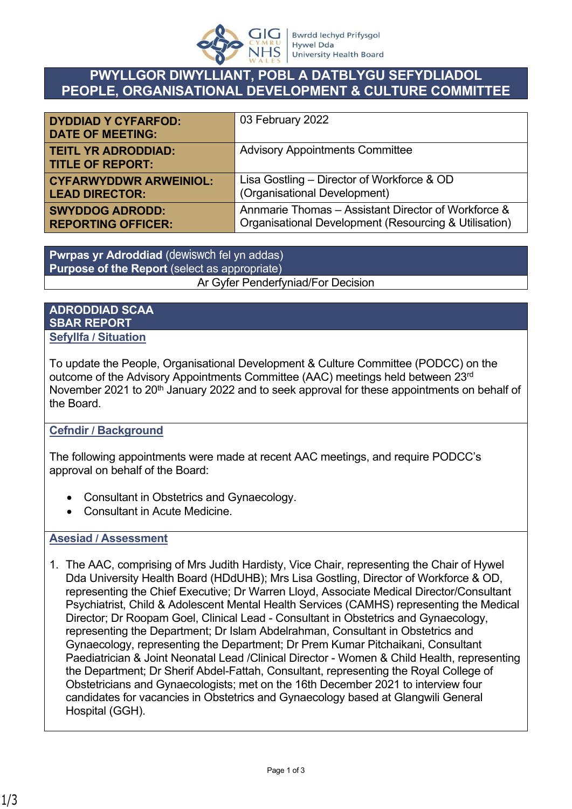

## **PWYLLGOR DIWYLLIANT, POBL A DATBLYGU SEFYDLIADOL PEOPLE, ORGANISATIONAL DEVELOPMENT & CULTURE COMMITTEE**

| <b>DYDDIAD Y CYFARFOD:</b><br><b>DATE OF MEETING:</b> | 03 February 2022                                      |
|-------------------------------------------------------|-------------------------------------------------------|
| <b>TEITL YR ADRODDIAD:</b><br><b>TITLE OF REPORT:</b> | <b>Advisory Appointments Committee</b>                |
| <b>CYFARWYDDWR ARWEINIOL:</b>                         | Lisa Gostling - Director of Workforce & OD            |
| <b>LEAD DIRECTOR:</b>                                 | (Organisational Development)                          |
| <b>SWYDDOG ADRODD:</b>                                | Annmarie Thomas - Assistant Director of Workforce &   |
| <b>REPORTING OFFICER:</b>                             | Organisational Development (Resourcing & Utilisation) |

**Pwrpas yr Adroddiad** (dewiswch fel yn addas) **Purpose of the Report** (select as appropriate) Ar Gyfer Penderfyniad/For Decision

## **ADRODDIAD SCAA SBAR REPORT Sefyllfa / Situation**

To update the People, Organisational Development & Culture Committee (PODCC) on the outcome of the Advisory Appointments Committee (AAC) meetings held between 23rd November 2021 to 20<sup>th</sup> January 2022 and to seek approval for these appointments on behalf of the Board.

## **Cefndir / Background**

The following appointments were made at recent AAC meetings, and require PODCC's approval on behalf of the Board:

- Consultant in Obstetrics and Gynaecology.
- Consultant in Acute Medicine.

## **Asesiad / Assessment**

1. The AAC, comprising of Mrs Judith Hardisty, Vice Chair, representing the Chair of Hywel Dda University Health Board (HDdUHB); Mrs Lisa Gostling, Director of Workforce & OD, representing the Chief Executive; Dr Warren Lloyd, Associate Medical Director/Consultant Psychiatrist, Child & Adolescent Mental Health Services (CAMHS) representing the Medical Director; Dr Roopam Goel, Clinical Lead - Consultant in Obstetrics and Gynaecology, representing the Department; Dr Islam Abdelrahman, Consultant in Obstetrics and Gynaecology, representing the Department; Dr Prem Kumar Pitchaikani, Consultant Paediatrician & Joint Neonatal Lead /Clinical Director - Women & Child Health, representing the Department; Dr Sherif Abdel-Fattah, Consultant, representing the Royal College of Obstetricians and Gynaecologists; met on the 16th December 2021 to interview four candidates for vacancies in Obstetrics and Gynaecology based at Glangwili General Hospital (GGH).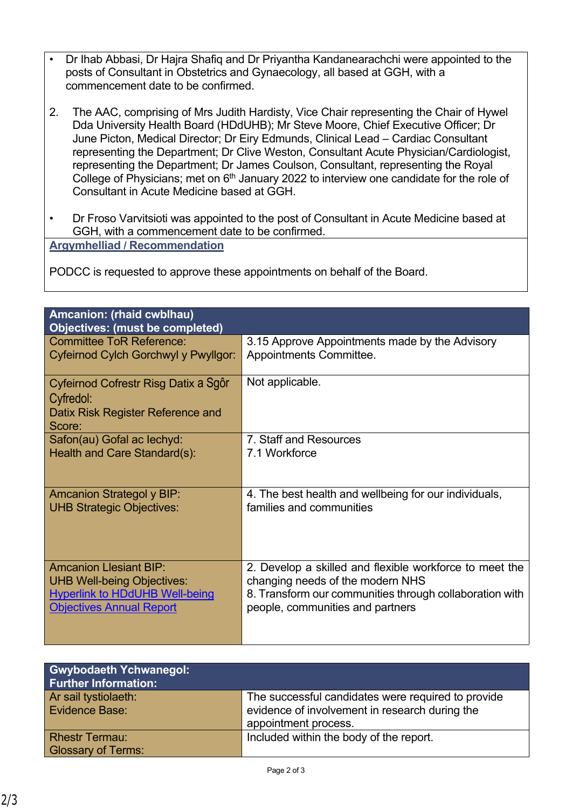- Dr Ihab Abbasi, Dr Hajra Shafiq and Dr Priyantha Kandanearachchi were appointed to the posts of Consultant in Obstetrics and Gynaecology, all based at GGH, with a commencement date to be confirmed.
- 2. The AAC, comprising of Mrs Judith Hardisty, Vice Chair representing the Chair of Hywel Dda University Health Board (HDdUHB); Mr Steve Moore, Chief Executive Officer; Dr June Picton, Medical Director; Dr Eiry Edmunds, Clinical Lead – Cardiac Consultant representing the Department; Dr Clive Weston, Consultant Acute Physician/Cardiologist, representing the Department; Dr James Coulson, Consultant, representing the Royal College of Physicians; met on  $6<sup>th</sup>$  January 2022 to interview one candidate for the role of Consultant in Acute Medicine based at GGH.
- Dr Froso Varvitsioti was appointed to the post of Consultant in Acute Medicine based at GGH, with a commencement date to be confirmed.

**Argymhelliad / Recommendation**

PODCC is requested to approve these appointments on behalf of the Board.

| <b>Amcanion: (rhaid cwblhau)</b><br><b>Objectives: (must be completed)</b>                       |                                                         |
|--------------------------------------------------------------------------------------------------|---------------------------------------------------------|
| <b>Committee ToR Reference:</b>                                                                  | 3.15 Approve Appointments made by the Advisory          |
| Cyfeirnod Cylch Gorchwyl y Pwyllgor:                                                             | Appointments Committee.                                 |
| Cyfeirnod Cofrestr Risg Datix a Sgôr<br>Cyfredol:<br>Datix Risk Register Reference and<br>Score: | Not applicable.                                         |
| Safon(au) Gofal ac lechyd:                                                                       | 7. Staff and Resources                                  |
| Health and Care Standard(s):                                                                     | 7.1 Workforce                                           |
| <b>Amcanion Strategol y BIP:</b>                                                                 | 4. The best health and wellbeing for our individuals,   |
| <b>UHB Strategic Objectives:</b>                                                                 | families and communities                                |
| <b>Amcanion Llesiant BIP:</b>                                                                    | 2. Develop a skilled and flexible workforce to meet the |
| <b>UHB Well-being Objectives:</b>                                                                | changing needs of the modern NHS                        |
| <b>Hyperlink to HDdUHB Well-being</b>                                                            | 8. Transform our communities through collaboration with |
| <b>Objectives Annual Report</b>                                                                  | people, communities and partners                        |

| <b>Gwybodaeth Ychwanegol:</b><br><b>Further Information:</b> |                                                                                                                              |
|--------------------------------------------------------------|------------------------------------------------------------------------------------------------------------------------------|
| Ar sail tystiolaeth:<br>Evidence Base:                       | The successful candidates were required to provide<br>evidence of involvement in research during the<br>appointment process. |
| <b>Rhestr Termau:</b><br><b>Glossary of Terms:</b>           | Included within the body of the report.                                                                                      |